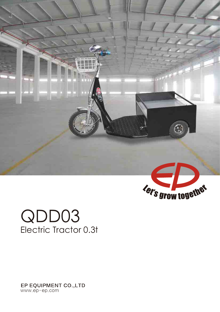

## QDD03 Electric Tractor 0.3t

EP EQUIPMENT CO.,LTD<br>www.ep-ep.com